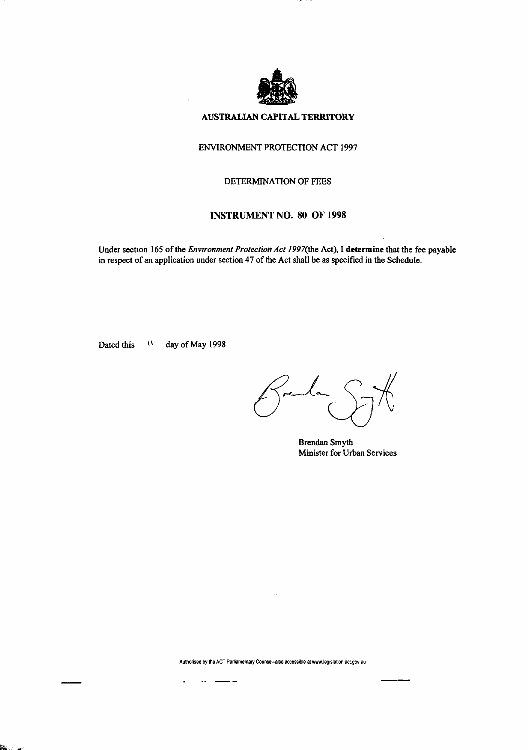

### **AUSTRALIAN CAPITAL TERRITORY**

### ENVIRONMENT PROTECTION ACT 1997

#### DETERMINATION OF FEES

### **INSTRUMENT NO.** 80 OF **1998**

Under section 165 of the *Environment Protection Act 1997*(the Act), I determine that the fee payable in respect of an application under section 47 of the Act shall be as specified in the Schedule.

Dated this  $\mathbf{w}$ day of May 1998

Brendan Smyth Minister for Urban Services

Authorised by the ACT Parliamentary Counsel-also accessible at www.legislation.act.gov.au

 $\ddot{\phantom{1}}$  $\overline{\phantom{a}}$  - -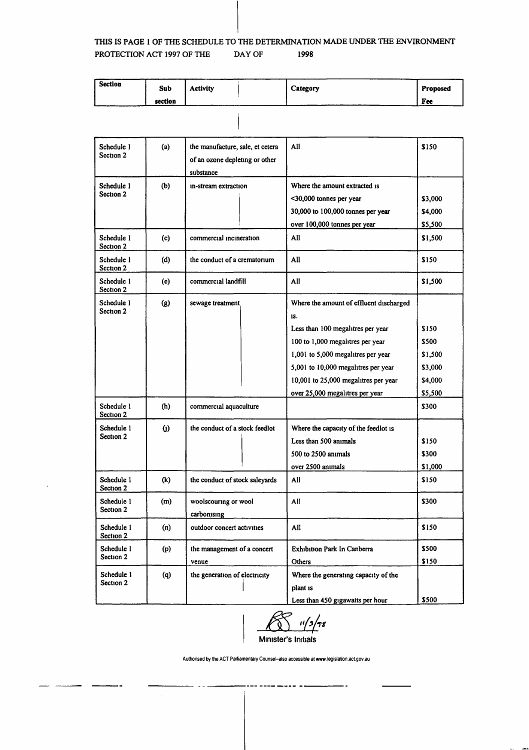### **THIS IS PAGE 1 OF THE SCHEDULE TO THE DETERMINATION MADE UNDER THE ENVIRONMENT PROTECTION ACT 1997 OF THE DAY OF 1998**

| Section | Sub     | <b>Activity</b> | Category | Proposed |
|---------|---------|-----------------|----------|----------|
|         | section |                 |          | Fee      |

| Schedule 1<br>Section 2 | (a)      | the manufacture, sale, et cetera<br>of an ozone depleting or other<br>substance | All                                                                                                                                                                                                                                                                             | \$150                                                      |
|-------------------------|----------|---------------------------------------------------------------------------------|---------------------------------------------------------------------------------------------------------------------------------------------------------------------------------------------------------------------------------------------------------------------------------|------------------------------------------------------------|
| Schedule 1<br>Section 2 | (b)      | in-stream extraction                                                            | Where the amount extracted is<br><30,000 tonnes per year<br>30,000 to 100,000 tonnes per year<br>over 100,000 tonnes per year                                                                                                                                                   | \$3,000<br>\$4,000<br>\$5,500                              |
| Schedule 1<br>Section 2 | (c)      | commercial incineration                                                         | All                                                                                                                                                                                                                                                                             | \$1,500                                                    |
| Schedule 1<br>Section 2 | (d)      | the conduct of a crematorium                                                    | All                                                                                                                                                                                                                                                                             | \$150                                                      |
| Schedule 1<br>Section 2 | (e)      | commercial landfill                                                             | All                                                                                                                                                                                                                                                                             | \$1,500                                                    |
| Schedule 1<br>Section 2 | $\Omega$ | sewage treatment                                                                | Where the amount of effluent discharged<br>1S.<br>Less than 100 megalitres per year<br>100 to 1,000 megalitres per year<br>1,001 to 5,000 megalitres per year<br>5,001 to 10,000 megalitres per year<br>10,001 to 25,000 megalitres per year<br>over 25,000 megalitres per year | \$150<br>\$500<br>\$1,500<br>\$3,000<br>\$4,000<br>\$5,500 |
| Schedule 1<br>Section 2 | (h)      | commercial aquaculture                                                          |                                                                                                                                                                                                                                                                                 | \$300                                                      |
| Schedule 1<br>Section 2 | $\omega$ | the conduct of a stock feedlot                                                  | Where the capacity of the feedlot is<br>Less than 500 animals<br>500 to 2500 animals<br>over 2500 animals                                                                                                                                                                       | \$150<br>\$300<br>\$1,000                                  |
| Schedule 1<br>Section 2 | (k)      | the conduct of stock saleyards                                                  | All                                                                                                                                                                                                                                                                             | \$150                                                      |
| Schedule 1<br>Section 2 | (m)      | woolscouring or wool<br>carbonising                                             | All                                                                                                                                                                                                                                                                             | \$300                                                      |
| Schedule 1<br>Section 2 | (n)      | outdoor concert activities                                                      | All                                                                                                                                                                                                                                                                             | \$150                                                      |
| Schedule 1<br>Section 2 | (p)      | the management of a concert<br>venue                                            | <b>Exhibition Park In Canberra</b><br>Others                                                                                                                                                                                                                                    | \$500<br>\$150                                             |
| Schedule 1<br>Section 2 | (q)      | the generation of electricity                                                   | Where the generating capacity of the<br>plant is<br>Less than 450 gigawatts per hour                                                                                                                                                                                            | \$500                                                      |



Authorised by the ACT Parliamentary Counsel-also accessible at www.legislation.act.gov.au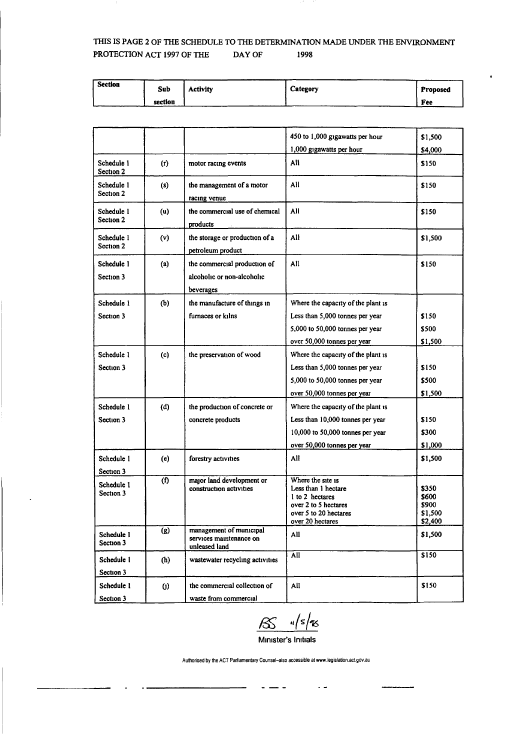# THIS IS PAGE 2 OF THE SCHEDULE TO THE DETERMINATION MADE UNDER THE ENVIRONMENT PROTECTION ACT 1997 OF THE DAY OF 1998

| <b>Section</b> | Sub     | <b>Activity</b> | Category | _____<br><b>Proposed</b> |
|----------------|---------|-----------------|----------|--------------------------|
|                | section |                 |          | Fee                      |

|                                                    |                                                                         | 450 to 1,000 gigawatts per hour                                                                                                  | \$1,500                                      |
|----------------------------------------------------|-------------------------------------------------------------------------|----------------------------------------------------------------------------------------------------------------------------------|----------------------------------------------|
|                                                    |                                                                         | 1,000 gigawatts per hour                                                                                                         | \$4,000                                      |
| Schedule 1<br>(r)<br>Section 2                     | motor racing events                                                     | All                                                                                                                              | \$150                                        |
| Schedule 1<br>(s)<br>Section 2                     | the management of a motor<br>racing venue                               | All                                                                                                                              | \$150                                        |
| Schedule 1<br>(u)<br>Section 2                     | the commercial use of chemical<br>products                              | All                                                                                                                              | \$150                                        |
| Schedule 1<br>(v)<br>Section 2                     | the storage or production of a<br>petroleum product                     | All                                                                                                                              | \$1,500                                      |
| Schedule 1<br>(a)<br>Section 3                     | the commercial production of<br>alcoholic or non-alcoholic<br>beverages | All                                                                                                                              | \$150                                        |
| (b)<br>Schedule 1                                  | the manufacture of things in                                            | Where the capacity of the plant is                                                                                               |                                              |
| Section 3                                          | furnaces or kilns                                                       | Less than 5,000 tonnes per year                                                                                                  | \$150                                        |
|                                                    |                                                                         | 5,000 to 50,000 tonnes per year                                                                                                  | \$500                                        |
|                                                    |                                                                         | over 50,000 tonnes per year                                                                                                      | \$1,500                                      |
| Schedule 1<br>(c)                                  | the preservation of wood                                                | Where the capacity of the plant is                                                                                               |                                              |
| Section 3                                          |                                                                         | Less than 5,000 tonnes per year                                                                                                  | \$150                                        |
|                                                    |                                                                         | 5,000 to 50,000 tonnes per year                                                                                                  | \$500                                        |
|                                                    |                                                                         | over 50,000 tonnes per year                                                                                                      | \$1,500                                      |
| Schedule 1<br>(d)                                  | the production of concrete or                                           | Where the capacity of the plant is                                                                                               |                                              |
| Section 3                                          | concrete products                                                       | Less than 10,000 tonnes per year                                                                                                 | \$150                                        |
|                                                    |                                                                         | 10,000 to 50,000 tonnes per year                                                                                                 | \$300                                        |
|                                                    |                                                                         | over 50,000 tonnes per year                                                                                                      | \$1,000                                      |
| Schedule 1<br>(e)<br>Section 3                     | forestry activities                                                     | All                                                                                                                              | \$1,500                                      |
| (1)<br>Schedule 1<br>Section 3                     | major land development or<br>construction activities                    | Where the site is<br>Less than 1 hectare<br>1 to 2 hectares<br>over 2 to 5 hectares<br>over 5 to 20 hectares<br>over 20 hectares | \$350<br>5600<br>\$900<br>\$1.500<br>\$2,400 |
| $\overline{\text{(g)}}$<br>Schedule 1<br>Section 3 | management of municipal<br>services maintenance on<br>unleased land     | All                                                                                                                              | \$1,500                                      |
| Schedule 1<br>(h)<br>Section 3                     | wastewater recycling activities                                         | Āll                                                                                                                              | \$150                                        |
| Schedule 1<br>$\omega$<br>Section 3                | the commercial collection of<br>waste from commercial                   | All                                                                                                                              | \$150                                        |

.<br>B

Minister's Initials

 $\overline{\phantom{a}}$ 

 $\sim$   $-$ 

**Authorised by the ACT Parliamentary Counsel-also accessible at www.legislation.act.gov.au**